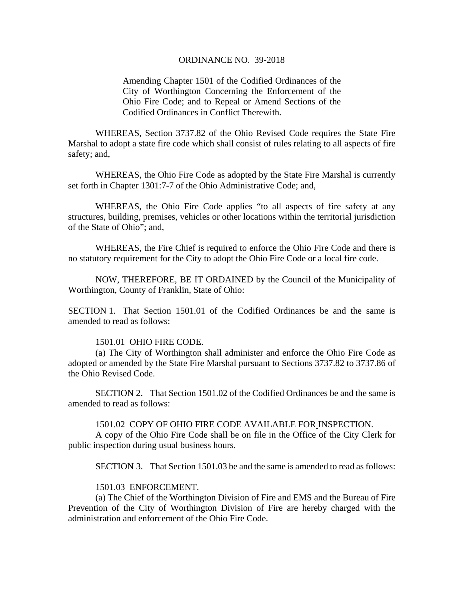#### ORDINANCE NO. 39-2018

Amending Chapter 1501 of the Codified Ordinances of the City of Worthington Concerning the Enforcement of the Ohio Fire Code; and to Repeal or Amend Sections of the Codified Ordinances in Conflict Therewith.

 WHEREAS, Section 3737.82 of the Ohio Revised Code requires the State Fire Marshal to adopt a state fire code which shall consist of rules relating to all aspects of fire safety; and,

 WHEREAS, the Ohio Fire Code as adopted by the State Fire Marshal is currently set forth in Chapter 1301:7-7 of the Ohio Administrative Code; and,

 WHEREAS, the Ohio Fire Code applies "to all aspects of fire safety at any structures, building, premises, vehicles or other locations within the territorial jurisdiction of the State of Ohio"; and,

 WHEREAS, the Fire Chief is required to enforce the Ohio Fire Code and there is no statutory requirement for the City to adopt the Ohio Fire Code or a local fire code.

 NOW, THEREFORE, BE IT ORDAINED by the Council of the Municipality of Worthington, County of Franklin, State of Ohio:

SECTION 1. That Section 1501.01 of the Codified Ordinances be and the same is amended to read as follows:

## 1501.01 OHIO FIRE CODE.

 (a) The City of Worthington shall administer and enforce the Ohio Fire Code as adopted or amended by the State Fire Marshal pursuant to Sections 3737.82 to 3737.86 of the Ohio Revised Code.

SECTION 2. That Section 1501.02 of the Codified Ordinances be and the same is amended to read as follows:

#### 1501.02 COPY OF OHIO FIRE CODE AVAILABLE FOR INSPECTION.

A copy of the Ohio Fire Code shall be on file in the Office of the City Clerk for public inspection during usual business hours.

SECTION 3. That Section 1501.03 be and the same is amended to read as follows:

# 1501.03 ENFORCEMENT.

(a) The Chief of the Worthington Division of Fire and EMS and the Bureau of Fire Prevention of the City of Worthington Division of Fire are hereby charged with the administration and enforcement of the Ohio Fire Code.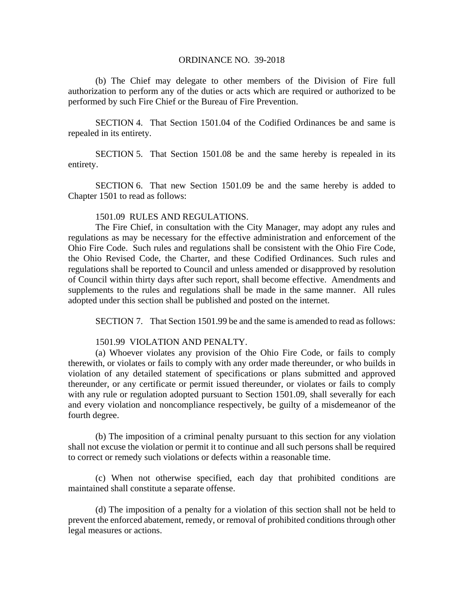## ORDINANCE NO. 39-2018

(b) The Chief may delegate to other members of the Division of Fire full authorization to perform any of the duties or acts which are required or authorized to be performed by such Fire Chief or the Bureau of Fire Prevention.

 SECTION 4. That Section 1501.04 of the Codified Ordinances be and same is repealed in its entirety.

SECTION 5. That Section 1501.08 be and the same hereby is repealed in its entirety.

SECTION 6. That new Section 1501.09 be and the same hereby is added to Chapter 1501 to read as follows:

# 1501.09 RULES AND REGULATIONS.

 The Fire Chief, in consultation with the City Manager, may adopt any rules and regulations as may be necessary for the effective administration and enforcement of the Ohio Fire Code. Such rules and regulations shall be consistent with the Ohio Fire Code, the Ohio Revised Code, the Charter, and these Codified Ordinances. Such rules and regulations shall be reported to Council and unless amended or disapproved by resolution of Council within thirty days after such report, shall become effective. Amendments and supplements to the rules and regulations shall be made in the same manner. All rules adopted under this section shall be published and posted on the internet.

SECTION 7. That Section 1501.99 be and the same is amended to read as follows:

## 1501.99 VIOLATION AND PENALTY.

(a) Whoever violates any provision of the Ohio Fire Code, or fails to comply therewith, or violates or fails to comply with any order made thereunder, or who builds in violation of any detailed statement of specifications or plans submitted and approved thereunder, or any certificate or permit issued thereunder, or violates or fails to comply with any rule or regulation adopted pursuant to Section 1501.09, shall severally for each and every violation and noncompliance respectively, be guilty of a misdemeanor of the fourth degree.

(b) The imposition of a criminal penalty pursuant to this section for any violation shall not excuse the violation or permit it to continue and all such persons shall be required to correct or remedy such violations or defects within a reasonable time.

(c) When not otherwise specified, each day that prohibited conditions are maintained shall constitute a separate offense.

(d) The imposition of a penalty for a violation of this section shall not be held to prevent the enforced abatement, remedy, or removal of prohibited conditions through other legal measures or actions.